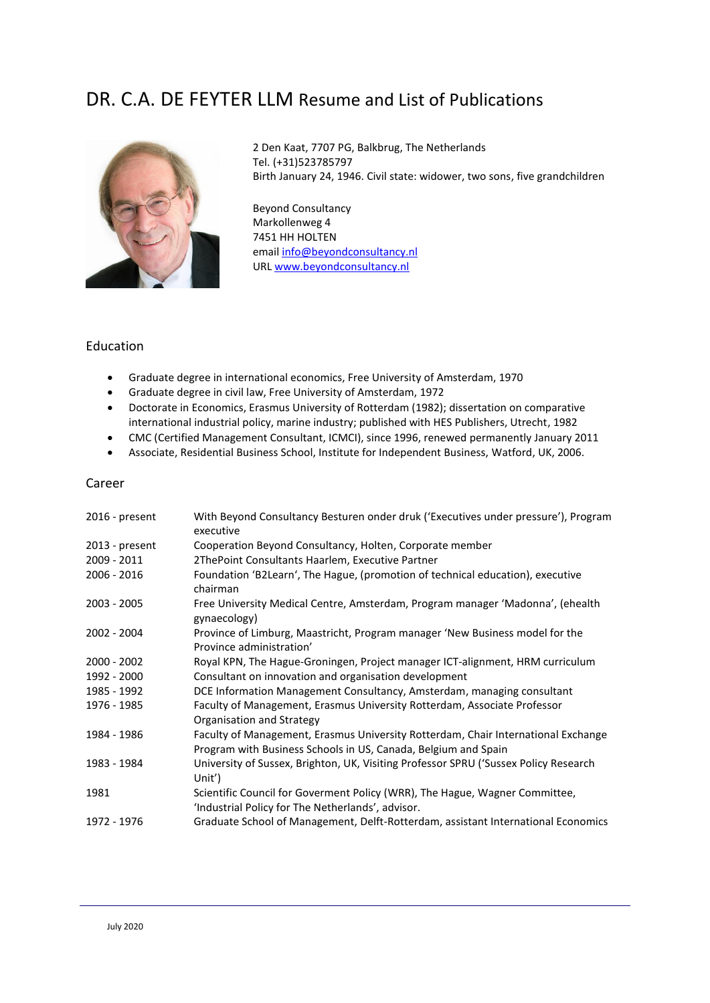# DR. C.A. DE FEYTER LLM Resume and List of Publications



2 Den Kaat, 7707 PG, Balkbrug, The Netherlands Tel. (+31)523785797 Birth January 24, 1946. Civil state: widower, two sons, five grandchildren

Beyond Consultancy Markollenweg 4 7451 HH HOLTEN emai[l info@beyondconsultancy.nl](mailto:info@beyondconsultancy.nl) URL [www.beyondconsultancy.nl](http://www.beyondconsultancy.nl/)

## Education

- Graduate degree in international economics, Free University of Amsterdam, 1970
- Graduate degree in civil law, Free University of Amsterdam, 1972
- Doctorate in Economics, Erasmus University of Rotterdam (1982); dissertation on comparative international industrial policy, marine industry; published with HES Publishers, Utrecht, 1982
- CMC (Certified Management Consultant, ICMCI), since 1996, renewed permanently January 2011
- Associate, Residential Business School, Institute for Independent Business, Watford, UK, 2006.

### Career

| 2016 - present | With Beyond Consultancy Besturen onder druk ('Executives under pressure'), Program<br>executive                                                     |
|----------------|-----------------------------------------------------------------------------------------------------------------------------------------------------|
| 2013 - present | Cooperation Beyond Consultancy, Holten, Corporate member                                                                                            |
| 2009 - 2011    | 2ThePoint Consultants Haarlem, Executive Partner                                                                                                    |
| 2006 - 2016    | Foundation 'B2Learn', The Hague, (promotion of technical education), executive<br>chairman                                                          |
| 2003 - 2005    | Free University Medical Centre, Amsterdam, Program manager 'Madonna', (ehealth<br>gynaecology)                                                      |
| 2002 - 2004    | Province of Limburg, Maastricht, Program manager 'New Business model for the<br>Province administration'                                            |
| $2000 - 2002$  | Royal KPN, The Hague-Groningen, Project manager ICT-alignment, HRM curriculum                                                                       |
| 1992 - 2000    | Consultant on innovation and organisation development                                                                                               |
| 1985 - 1992    | DCE Information Management Consultancy, Amsterdam, managing consultant                                                                              |
| 1976 - 1985    | Faculty of Management, Erasmus University Rotterdam, Associate Professor<br>Organisation and Strategy                                               |
| 1984 - 1986    | Faculty of Management, Erasmus University Rotterdam, Chair International Exchange<br>Program with Business Schools in US, Canada, Belgium and Spain |
| 1983 - 1984    | University of Sussex, Brighton, UK, Visiting Professor SPRU ('Sussex Policy Research<br>Unit')                                                      |
| 1981           | Scientific Council for Goverment Policy (WRR), The Hague, Wagner Committee,<br>'Industrial Policy for The Netherlands', advisor.                    |
| 1972 - 1976    | Graduate School of Management, Delft-Rotterdam, assistant International Economics                                                                   |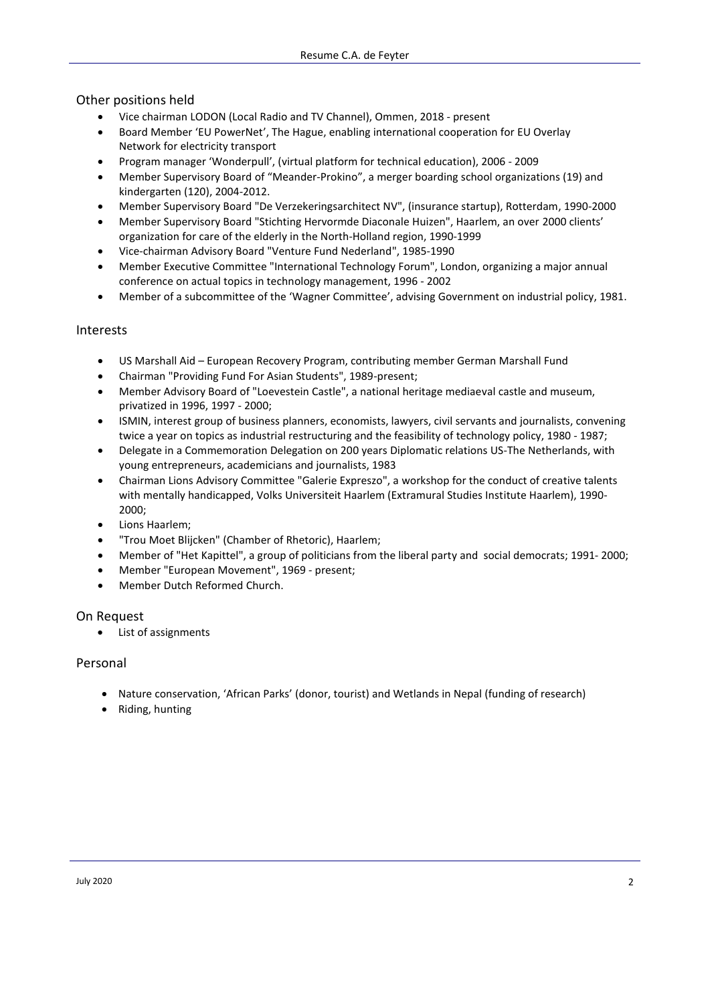## Other positions held

- Vice chairman LODON (Local Radio and TV Channel), Ommen, 2018 present
- Board Member 'EU PowerNet', The Hague, enabling international cooperation for EU Overlay Network for electricity transport
- Program manager 'Wonderpull', (virtual platform for technical education), 2006 2009
- Member Supervisory Board of "Meander-Prokino", a merger boarding school organizations (19) and kindergarten (120), 2004-2012.
- Member Supervisory Board "De Verzekeringsarchitect NV", (insurance startup), Rotterdam, 1990-2000
- Member Supervisory Board "Stichting Hervormde Diaconale Huizen", Haarlem, an over 2000 clients' organization for care of the elderly in the North-Holland region, 1990-1999
- Vice-chairman Advisory Board "Venture Fund Nederland", 1985-1990
- Member Executive Committee "International Technology Forum", London, organizing a major annual conference on actual topics in technology management, 1996 - 2002
- Member of a subcommittee of the 'Wagner Committee', advising Government on industrial policy, 1981.

## Interests

- US Marshall Aid European Recovery Program, contributing member German Marshall Fund
- Chairman "Providing Fund For Asian Students", 1989-present;
- Member Advisory Board of "Loevestein Castle", a national heritage mediaeval castle and museum, privatized in 1996, 1997 - 2000;
- ISMIN, interest group of business planners, economists, lawyers, civil servants and journalists, convening twice a year on topics as industrial restructuring and the feasibility of technology policy, 1980 - 1987;
- Delegate in a Commemoration Delegation on 200 years Diplomatic relations US-The Netherlands, with young entrepreneurs, academicians and journalists, 1983
- Chairman Lions Advisory Committee "Galerie Expreszo", a workshop for the conduct of creative talents with mentally handicapped, Volks Universiteit Haarlem (Extramural Studies Institute Haarlem), 1990- 2000;
- Lions Haarlem;
- "Trou Moet Blijcken" (Chamber of Rhetoric), Haarlem;
- Member of "Het Kapittel", a group of politicians from the liberal party and social democrats; 1991- 2000;
- Member "European Movement", 1969 present;
- Member Dutch Reformed Church.

## On Request

• List of assignments

## Personal

- Nature conservation, 'African Parks' (donor, tourist) and Wetlands in Nepal (funding of research)
- Riding, hunting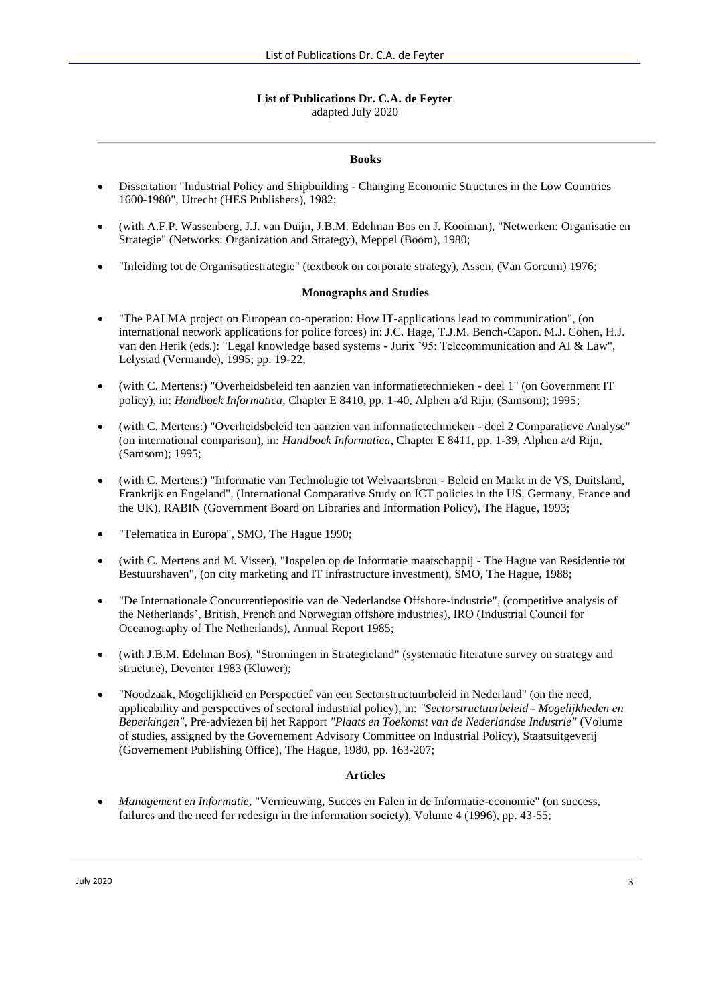### **List of Publications Dr. C.A. de Feyter** adapted July 2020

#### **Books**

- Dissertation "Industrial Policy and Shipbuilding Changing Economic Structures in the Low Countries 1600-1980", Utrecht (HES Publishers), 1982;
- (with A.F.P. Wassenberg, J.J. van Duijn, J.B.M. Edelman Bos en J. Kooiman), "Netwerken: Organisatie en Strategie" (Networks: Organization and Strategy), Meppel (Boom), 1980;
- "Inleiding tot de Organisatiestrategie" (textbook on corporate strategy), Assen, (Van Gorcum) 1976;

#### **Monographs and Studies**

- "The PALMA project on European co-operation: How IT-applications lead to communication", (on international network applications for police forces) in: J.C. Hage, T.J.M. Bench-Capon. M.J. Cohen, H.J. van den Herik (eds.): "Legal knowledge based systems - Jurix '95: Telecommunication and AI & Law", Lelystad (Vermande), 1995; pp. 19-22;
- (with C. Mertens:) "Overheidsbeleid ten aanzien van informatietechnieken deel 1" (on Government IT policy), in: *Handboek Informatica*, Chapter E 8410, pp. 1-40, Alphen a/d Rijn, (Samsom); 1995;
- (with C. Mertens:) "Overheidsbeleid ten aanzien van informatietechnieken deel 2 Comparatieve Analyse" (on international comparison), in: *Handboek Informatica*, Chapter E 8411, pp. 1-39, Alphen a/d Rijn, (Samsom); 1995;
- (with C. Mertens:) "Informatie van Technologie tot Welvaartsbron Beleid en Markt in de VS, Duitsland, Frankrijk en Engeland", (International Comparative Study on ICT policies in the US, Germany, France and the UK), RABIN (Government Board on Libraries and Information Policy), The Hague, 1993;
- "Telematica in Europa", SMO, The Hague 1990;
- (with C. Mertens and M. Visser), "Inspelen op de Informatie maatschappij The Hague van Residentie tot Bestuurshaven", (on city marketing and IT infrastructure investment), SMO, The Hague, 1988;
- "De Internationale Concurrentiepositie van de Nederlandse Offshore-industrie", (competitive analysis of the Netherlands', British, French and Norwegian offshore industries), IRO (Industrial Council for Oceanography of The Netherlands), Annual Report 1985;
- (with J.B.M. Edelman Bos), "Stromingen in Strategieland" (systematic literature survey on strategy and structure), Deventer 1983 (Kluwer);
- "Noodzaak, Mogelijkheid en Perspectief van een Sectorstructuurbeleid in Nederland" (on the need, applicability and perspectives of sectoral industrial policy), in: *"Sectorstructuurbeleid - Mogelijkheden en Beperkingen",* Pre-adviezen bij het Rapport *"Plaats en Toekomst van de Nederlandse Industrie"* (Volume of studies, assigned by the Governement Advisory Committee on Industrial Policy), Staatsuitgeverij (Governement Publishing Office), The Hague, 1980, pp. 163-207;

### **Articles**

• *Management en Informatie*, "Vernieuwing, Succes en Falen in de Informatie-economie" (on success, failures and the need for redesign in the information society), Volume 4 (1996), pp. 43-55;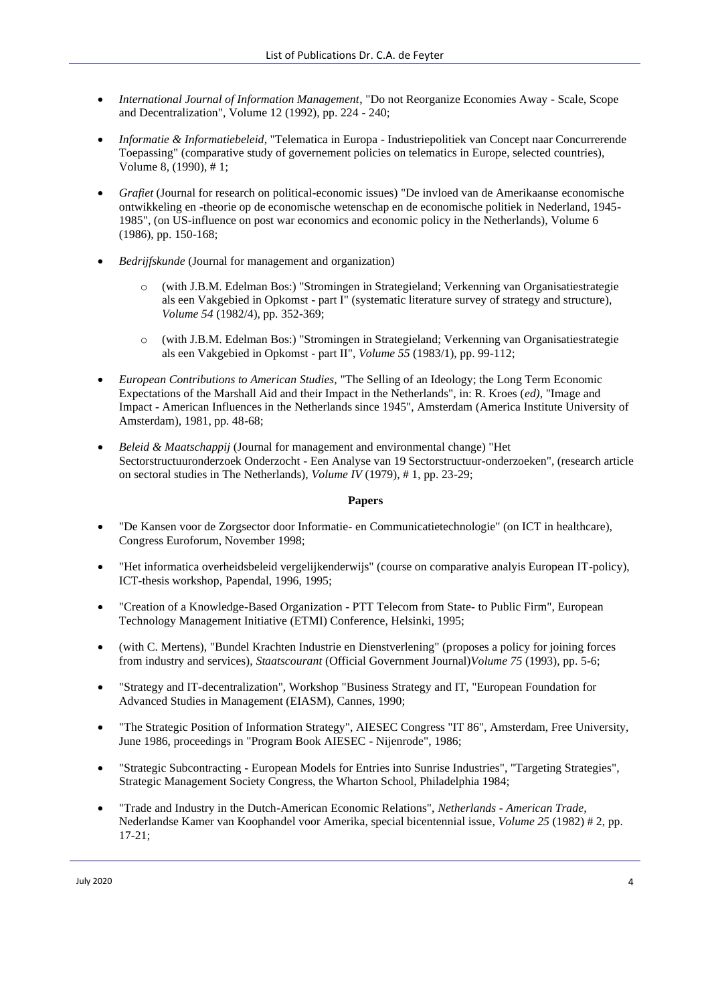- *International Journal of Information Management*, "Do not Reorganize Economies Away Scale, Scope and Decentralization", Volume 12 (1992), pp. 224 - 240;
- *Informatie & Informatiebeleid*, "Telematica in Europa Industriepolitiek van Concept naar Concurrerende Toepassing" (comparative study of governement policies on telematics in Europe, selected countries), Volume 8, (1990), # 1;
- *Grafiet* (Journal for research on political-economic issues) "De invloed van de Amerikaanse economische ontwikkeling en -theorie op de economische wetenschap en de economische politiek in Nederland, 1945- 1985", (on US-influence on post war economics and economic policy in the Netherlands), Volume 6 (1986), pp. 150-168;
- *Bedrijfskunde* (Journal for management and organization)
	- (with J.B.M. Edelman Bos:) "Stromingen in Strategieland; Verkenning van Organisatiestrategie als een Vakgebied in Opkomst - part I" (systematic literature survey of strategy and structure), *Volume 54* (1982/4), pp. 352-369;
	- (with J.B.M. Edelman Bos:) "Stromingen in Strategieland; Verkenning van Organisatiestrategie als een Vakgebied in Opkomst - part II", *Volume 55* (1983/1), pp. 99-112;
- *European Contributions to American Studies,* "The Selling of an Ideology; the Long Term Economic Expectations of the Marshall Aid and their Impact in the Netherlands", in: R. Kroes (*ed)*, "Image and Impact - American Influences in the Netherlands since 1945", Amsterdam (America Institute University of Amsterdam), 1981, pp. 48-68;
- *Beleid & Maatschappij* (Journal for management and environmental change) "Het Sectorstructuuronderzoek Onderzocht - Een Analyse van 19 Sectorstructuur-onderzoeken", (research article on sectoral studies in The Netherlands), *Volume IV* (1979), # 1, pp. 23-29;

### **Papers**

- "De Kansen voor de Zorgsector door Informatie- en Communicatietechnologie" (on ICT in healthcare), Congress Euroforum, November 1998;
- "Het informatica overheidsbeleid vergelijkenderwijs" (course on comparative analyis European IT-policy), ICT-thesis workshop, Papendal, 1996, 1995;
- "Creation of a Knowledge-Based Organization PTT Telecom from State- to Public Firm", European Technology Management Initiative (ETMI) Conference, Helsinki, 1995;
- (with C. Mertens), "Bundel Krachten Industrie en Dienstverlening" (proposes a policy for joining forces from industry and services), *Staatscourant* (Official Government Journal)*Volume 75* (1993), pp. 5-6;
- "Strategy and IT-decentralization", Workshop "Business Strategy and IT, "European Foundation for Advanced Studies in Management (EIASM), Cannes, 1990;
- "The Strategic Position of Information Strategy", AIESEC Congress "IT 86", Amsterdam, Free University, June 1986, proceedings in "Program Book AIESEC - Nijenrode", 1986;
- "Strategic Subcontracting European Models for Entries into Sunrise Industries", "Targeting Strategies", Strategic Management Society Congress, the Wharton School, Philadelphia 1984;
- "Trade and Industry in the Dutch-American Economic Relations", *Netherlands - American Trade,*  Nederlandse Kamer van Koophandel voor Amerika, special bicentennial issue*, Volume 25* (1982) # 2, pp. 17-21;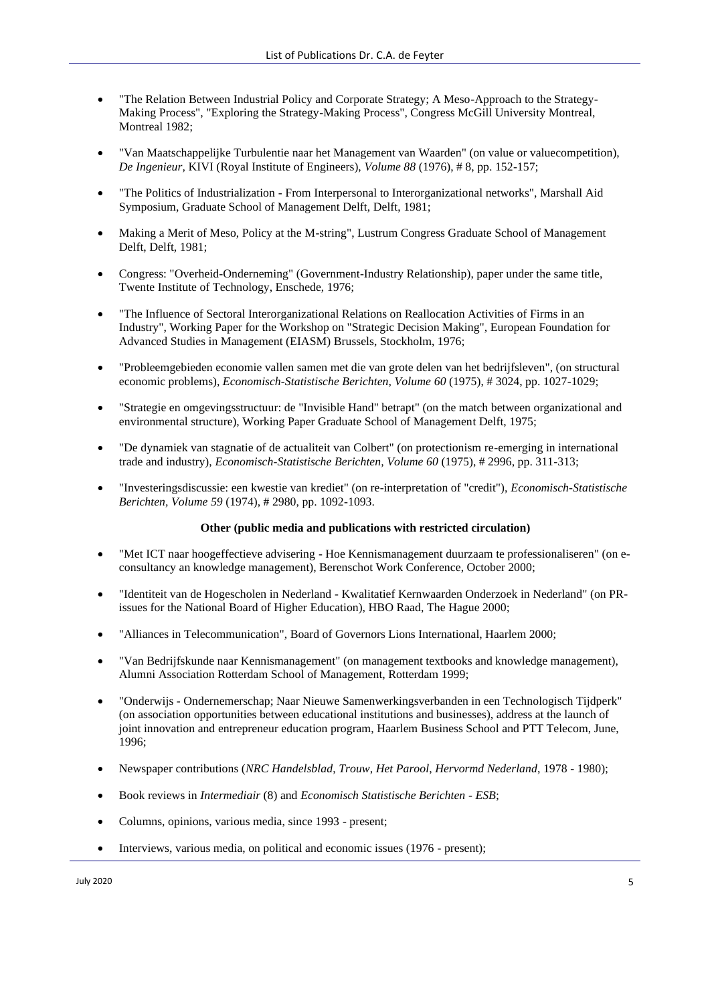- "The Relation Between Industrial Policy and Corporate Strategy; A Meso-Approach to the Strategy-Making Process", "Exploring the Strategy-Making Process", Congress McGill University Montreal, Montreal 1982;
- "Van Maatschappelijke Turbulentie naar het Management van Waarden" (on value or valuecompetition), *De Ingenieur,* KIVI (Royal Institute of Engineers), *Volume 88* (1976), # 8, pp. 152-157;
- "The Politics of Industrialization From Interpersonal to Interorganizational networks", Marshall Aid Symposium, Graduate School of Management Delft, Delft, 1981;
- Making a Merit of Meso, Policy at the M-string", Lustrum Congress Graduate School of Management Delft, Delft, 1981;
- Congress: "Overheid-Onderneming" (Government-Industry Relationship), paper under the same title, Twente Institute of Technology, Enschede, 1976;
- "The Influence of Sectoral Interorganizational Relations on Reallocation Activities of Firms in an Industry", Working Paper for the Workshop on "Strategic Decision Making", European Foundation for Advanced Studies in Management (EIASM) Brussels, Stockholm, 1976;
- "Probleemgebieden economie vallen samen met die van grote delen van het bedrijfsleven", (on structural economic problems), *Economisch-Statistische Berichten, Volume 60* (1975), # 3024, pp. 1027-1029;
- "Strategie en omgevingsstructuur: de "Invisible Hand" betrapt" (on the match between organizational and environmental structure), Working Paper Graduate School of Management Delft, 1975;
- "De dynamiek van stagnatie of de actualiteit van Colbert" (on protectionism re-emerging in international trade and industry), *Economisch-Statistische Berichten, Volume 60* (1975), # 2996, pp. 311-313;
- "Investeringsdiscussie: een kwestie van krediet" (on re-interpretation of "credit"), *Economisch-Statistische Berichten, Volume 59* (1974), # 2980, pp. 1092-1093.

### **Other (public media and publications with restricted circulation)**

- "Met ICT naar hoogeffectieve advisering Hoe Kennismanagement duurzaam te professionaliseren" (on econsultancy an knowledge management), Berenschot Work Conference, October 2000;
- "Identiteit van de Hogescholen in Nederland Kwalitatief Kernwaarden Onderzoek in Nederland" (on PRissues for the National Board of Higher Education), HBO Raad, The Hague 2000;
- "Alliances in Telecommunication", Board of Governors Lions International, Haarlem 2000;
- "Van Bedrijfskunde naar Kennismanagement" (on management textbooks and knowledge management), Alumni Association Rotterdam School of Management, Rotterdam 1999;
- "Onderwijs Ondernemerschap; Naar Nieuwe Samenwerkingsverbanden in een Technologisch Tijdperk" (on association opportunities between educational institutions and businesses), address at the launch of joint innovation and entrepreneur education program, Haarlem Business School and PTT Telecom, June, 1996;
- Newspaper contributions (*NRC Handelsblad*, *Trouw*, *Het Parool*, *Hervormd Nederland*, 1978 1980);
- Book reviews in *Intermediair* (8) and *Economisch Statistische Berichten - ESB*;
- Columns, opinions, various media, since 1993 present;
- Interviews, various media, on political and economic issues (1976 present);